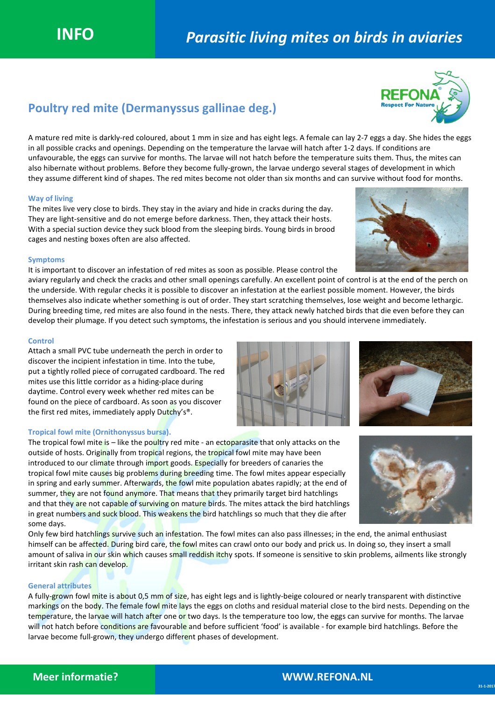# Poultry red mite (Dermanyssus gallinae deg.)

A mature red mite is darkly-red coloured, about 1 mm in size and has eight legs. A female can lay 2-7 eggs a day. She hides the eggs in all possible cracks and openings. Depending on the temperature the larvae will hatch after 1-2 days. If conditions are unfavourable, the eggs can survive for months. The larvae will not hatch before the temperature suits them. Thus, the mites can also hibernate without problems. Before they become fully-grown, the larvae undergo several stages of development in which they assume different kind of shapes. The red mites become not older than six months and can survive without food for months.

# Way of living

The mites live very close to birds. They stay in the aviary and hide in cracks during the day. They are light-sensitive and do not emerge before darkness. Then, they attack their hosts. With a special suction device they suck blood from the sleeping birds. Young birds in brood cages and nesting boxes often are also affected.

# Symptoms

It is important to discover an infestation of red mites as soon as possible. Please control the

aviary regularly and check the cracks and other small openings carefully. An excellent point of control is at the end of the perch on the underside. With regular checks it is possible to discover an infestation at the earliest possible moment. However, the birds themselves also indicate whether something is out of order. They start scratching themselves, lose weight and become lethargic. During breeding time, red mites are also found in the nests. There, they attack newly hatched birds that die even before they can develop their plumage. If you detect such symptoms, the infestation is serious and you should intervene immediately.

# **Control**

Attach a small PVC tube underneath the perch in order to discover the incipient infestation in time. Into the tube, put a tightly rolled piece of corrugated cardboard. The red mites use this little corridor as a hiding-place during daytime. Control every week whether red mites can be found on the piece of cardboard. As soon as you discover the first red mites, immediately apply Dutchy's®.

### Tropical fowl mite (Ornithonyssus bursa).

The tropical fowl mite is  $-$  like the poultry red mite - an ectoparasite that only attacks on the outside of hosts. Originally from tropical regions, the tropical fowl mite may have been introduced to our climate through import goods. Especially for breeders of canaries the tropical fowl mite causes big problems during breeding time. The fowl mites appear especially in spring and early summer. Afterwards, the fowl mite population abates rapidly; at the end of summer, they are not found anymore. That means that they primarily target bird hatchlings and that they are not capable of surviving on mature birds. The mites attack the bird hatchlings in great numbers and suck blood. This weakens the bird hatchlings so much that they die after some days.

Only few bird hatchlings survive such an infestation. The fowl mites can also pass illnesses; in the end, the animal enthusiast himself can be affected. During bird care, the fowl mites can crawl onto our body and prick us. In doing so, they insert a small amount of saliva in our skin which causes small reddish itchy spots. If someone is sensitive to skin problems, ailments like strongly irritant skin rash can develop.

## General attributes

A fully-grown fowl mite is about 0,5 mm of size, has eight legs and is lightly-beige coloured or nearly transparent with distinctive markings on the body. The female fowl mite lays the eggs on cloths and residual material close to the bird nests. Depending on the temperature, the larvae will hatch after one or two days. Is the temperature too low, the eggs can survive for months. The larvae will not hatch before conditions are favourable and before sufficient 'food' is available - for example bird hatchlings. Before the larvae become full-grown, they undergo different phases of development.





or Natu